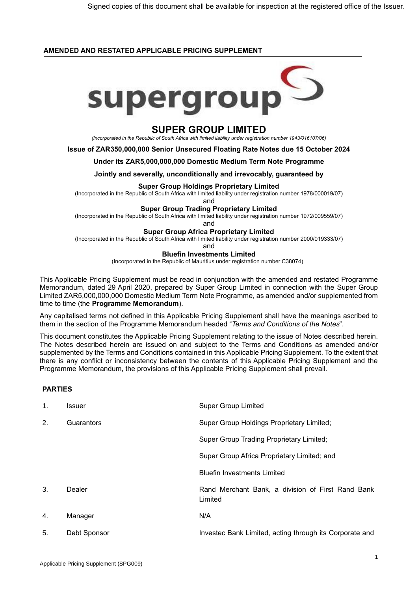## **AMENDED AND RESTATED APPLICABLE PRICING SUPPLEMENT**



# **SUPER GROUP LIMITED**

*(Incorporated in the Republic of South Africa with limited liability under registration number 1943/016107/06)*

**Issue of ZAR350,000,000 Senior Unsecured Floating Rate Notes due 15 October 2024**

#### **Under its ZAR5,000,000,000 Domestic Medium Term Note Programme**

**Jointly and severally, unconditionally and irrevocably, guaranteed by**

#### **Super Group Holdings Proprietary Limited**

(Incorporated in the Republic of South Africa with limited liability under registration number 1978/000019/07)

and

#### **Super Group Trading Proprietary Limited**

(Incorporated in the Republic of South Africa with limited liability under registration number 1972/009559/07)

and

#### **Super Group Africa Proprietary Limited**

(Incorporated in the Republic of South Africa with limited liability under registration number 2000/019333/07)

and

#### **Bluefin Investments Limited**

(Incorporated in the Republic of Mauritius under registration number C38074)

This Applicable Pricing Supplement must be read in conjunction with the amended and restated Programme Memorandum, dated 29 April 2020, prepared by Super Group Limited in connection with the Super Group Limited ZAR5,000,000,000 Domestic Medium Term Note Programme, as amended and/or supplemented from time to time (the **Programme Memorandum**).

Any capitalised terms not defined in this Applicable Pricing Supplement shall have the meanings ascribed to them in the section of the Programme Memorandum headed "*Terms and Conditions of the Notes*".

This document constitutes the Applicable Pricing Supplement relating to the issue of Notes described herein. The Notes described herein are issued on and subject to the Terms and Conditions as amended and/or supplemented by the Terms and Conditions contained in this Applicable Pricing Supplement. To the extent that there is any conflict or inconsistency between the contents of this Applicable Pricing Supplement and the Programme Memorandum, the provisions of this Applicable Pricing Supplement shall prevail.

# **PARTIES**

| $\mathbf{1}$ . | Issuer       | <b>Super Group Limited</b>                                   |
|----------------|--------------|--------------------------------------------------------------|
| 2.             | Guarantors   | Super Group Holdings Proprietary Limited;                    |
|                |              | <b>Super Group Trading Proprietary Limited;</b>              |
|                |              | Super Group Africa Proprietary Limited; and                  |
|                |              | <b>Bluefin Investments Limited</b>                           |
| 3.             | Dealer       | Rand Merchant Bank, a division of First Rand Bank<br>Limited |
| 4.             | Manager      | N/A                                                          |
| 5.             | Debt Sponsor | Investec Bank Limited, acting through its Corporate and      |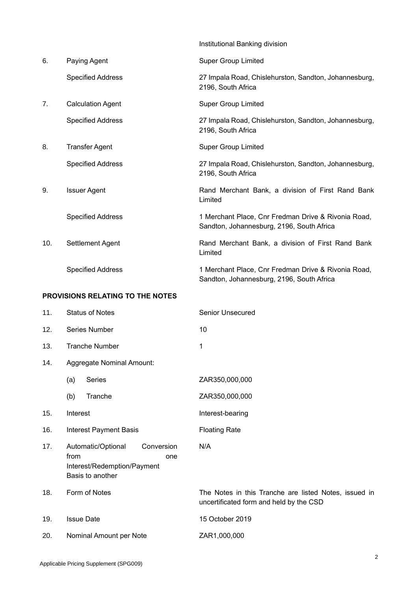|     |                                  | Institutional Banking division                                                                   |
|-----|----------------------------------|--------------------------------------------------------------------------------------------------|
| 6.  | Paying Agent                     | <b>Super Group Limited</b>                                                                       |
|     | <b>Specified Address</b>         | 27 Impala Road, Chislehurston, Sandton, Johannesburg,<br>2196, South Africa                      |
| 7.  | <b>Calculation Agent</b>         | <b>Super Group Limited</b>                                                                       |
|     | <b>Specified Address</b>         | 27 Impala Road, Chislehurston, Sandton, Johannesburg,<br>2196, South Africa                      |
| 8.  | <b>Transfer Agent</b>            | <b>Super Group Limited</b>                                                                       |
|     | <b>Specified Address</b>         | 27 Impala Road, Chislehurston, Sandton, Johannesburg,<br>2196, South Africa                      |
| 9.  | <b>Issuer Agent</b>              | Rand Merchant Bank, a division of First Rand Bank<br>Limited                                     |
|     | <b>Specified Address</b>         | 1 Merchant Place, Cnr Fredman Drive & Rivonia Road,<br>Sandton, Johannesburg, 2196, South Africa |
| 10. | Settlement Agent                 | Rand Merchant Bank, a division of First Rand Bank<br>Limited                                     |
|     | <b>Specified Address</b>         | 1 Merchant Place, Cnr Fredman Drive & Rivonia Road,<br>Sandton, Johannesburg, 2196, South Africa |
|     | PROVISIONS RELATING TO THE NOTES |                                                                                                  |
| 11. | <b>Status of Notes</b>           | <b>Senior Unsecured</b>                                                                          |
| 12. | Series Number                    | 10                                                                                               |
| 13. | <b>Tranche Number</b>            | 1                                                                                                |

N/A

uncertificated form and held by the CSD

- 14. Aggregate Nominal Amount:
	- (a) Series ZAR350,000,000
	- (b) Tranche ZAR350,000,000
- 15. Interest **Interest**
- 16. Interest Payment Basis Floating Rate
- 17. Automatic/Optional Conversion from one Interest/Redemption/Payment Basis to another
- 18. Form of Notes The Notes in this Tranche are listed Notes, issued in
- 19. Issue Date 15 October 2019
- 20. Nominal Amount per Note ZAR1,000,000

#### 2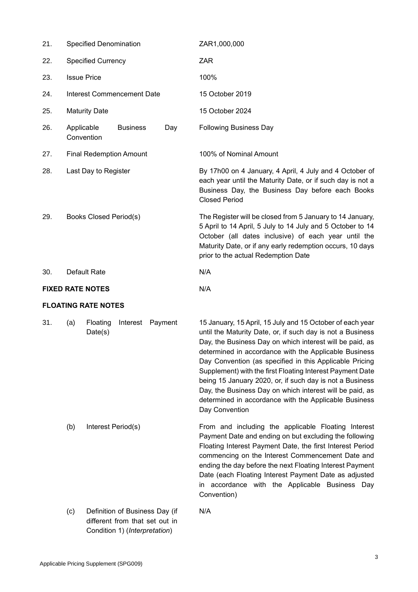| 21. | <b>Specified Denomination</b> |                            |                                   |     | ZAR1,000,000                                                                                                                                                                                                                                                                                                                                                                                                         |
|-----|-------------------------------|----------------------------|-----------------------------------|-----|----------------------------------------------------------------------------------------------------------------------------------------------------------------------------------------------------------------------------------------------------------------------------------------------------------------------------------------------------------------------------------------------------------------------|
| 22. | <b>Specified Currency</b>     |                            |                                   |     | <b>ZAR</b>                                                                                                                                                                                                                                                                                                                                                                                                           |
| 23. | <b>Issue Price</b>            |                            |                                   |     | 100%                                                                                                                                                                                                                                                                                                                                                                                                                 |
| 24. |                               |                            | <b>Interest Commencement Date</b> |     | 15 October 2019                                                                                                                                                                                                                                                                                                                                                                                                      |
| 25. |                               | <b>Maturity Date</b>       |                                   |     | 15 October 2024                                                                                                                                                                                                                                                                                                                                                                                                      |
| 26. | Applicable                    | Convention                 | <b>Business</b>                   | Day | <b>Following Business Day</b>                                                                                                                                                                                                                                                                                                                                                                                        |
| 27. |                               |                            | <b>Final Redemption Amount</b>    |     | 100% of Nominal Amount                                                                                                                                                                                                                                                                                                                                                                                               |
| 28. |                               | Last Day to Register       |                                   |     | By 17h00 on 4 January, 4 April, 4 July and 4 October of<br>each year until the Maturity Date, or if such day is not a<br>Business Day, the Business Day before each Books<br><b>Closed Period</b>                                                                                                                                                                                                                    |
| 29. | <b>Books Closed Period(s)</b> |                            |                                   |     | The Register will be closed from 5 January to 14 January,<br>5 April to 14 April, 5 July to 14 July and 5 October to 14<br>October (all dates inclusive) of each year until the<br>Maturity Date, or if any early redemption occurs, 10 days<br>prior to the actual Redemption Date                                                                                                                                  |
| 30. |                               | Default Rate               |                                   |     | N/A                                                                                                                                                                                                                                                                                                                                                                                                                  |
|     |                               | <b>FIXED RATE NOTES</b>    |                                   |     | N/A                                                                                                                                                                                                                                                                                                                                                                                                                  |
|     |                               | <b>FLOATING RATE NOTES</b> |                                   |     |                                                                                                                                                                                                                                                                                                                                                                                                                      |
| 31. | (a)                           | Floating<br>Date(s)        | Interest Payment                  |     | 15 January, 15 April, 15 July and 15 October of each year<br>until the Maturity Date, or, if such day is not a Business<br>Day, the Business Day on which interest will be paid, as<br>determined in accordance with the Applicable Business<br>Day Convention (as specified in this Applicable Pricing                                                                                                              |
|     |                               |                            |                                   |     | Supplement) with the first Floating Interest Payment Date<br>being 15 January 2020, or, if such day is not a Business<br>Day, the Business Day on which interest will be paid, as<br>determined in accordance with the Applicable Business<br>Day Convention                                                                                                                                                         |
|     | (b)                           | Interest Period(s)         |                                   |     | From and including the applicable Floating Interest<br>Payment Date and ending on but excluding the following<br>Floating Interest Payment Date, the first Interest Period<br>commencing on the Interest Commencement Date and<br>ending the day before the next Floating Interest Payment<br>Date (each Floating Interest Payment Date as adjusted<br>in accordance with the Applicable Business Day<br>Convention) |

Condition 1) (*Interpretation*)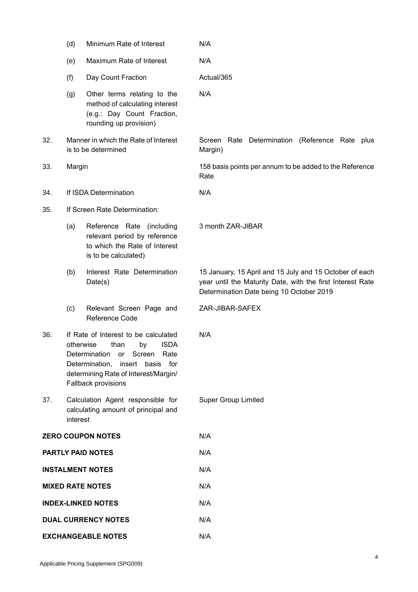|                         | (d)                           | Minimum Rate of Interest                                                                                                                                                                                        | N/A                                                                                                                                                               |
|-------------------------|-------------------------------|-----------------------------------------------------------------------------------------------------------------------------------------------------------------------------------------------------------------|-------------------------------------------------------------------------------------------------------------------------------------------------------------------|
|                         | (e)                           | Maximum Rate of Interest                                                                                                                                                                                        | N/A                                                                                                                                                               |
|                         | (f)                           | Day Count Fraction                                                                                                                                                                                              | Actual/365                                                                                                                                                        |
|                         | (g)                           | Other terms relating to the<br>method of calculating interest<br>(e.g.: Day Count Fraction,<br>rounding up provision)                                                                                           | N/A                                                                                                                                                               |
| 32.                     |                               | Manner in which the Rate of Interest<br>is to be determined                                                                                                                                                     | Screen Rate Determination (Reference Rate plus<br>Margin)                                                                                                         |
| 33.                     | Margin                        |                                                                                                                                                                                                                 | 158 basis points per annum to be added to the Reference<br>Rate                                                                                                   |
| 34.                     |                               | If ISDA Determination                                                                                                                                                                                           | N/A                                                                                                                                                               |
| 35.                     | If Screen Rate Determination: |                                                                                                                                                                                                                 |                                                                                                                                                                   |
|                         | (a)                           | Reference Rate (including<br>relevant period by reference<br>to which the Rate of Interest<br>is to be calculated)                                                                                              | 3 month ZAR-JIBAR                                                                                                                                                 |
|                         | (b)                           | Interest Rate Determination<br>Date(s)                                                                                                                                                                          | 15 January, 15 April and 15 July and 15 October of each<br>year until the Maturity Date, with the first Interest Rate<br>Determination Date being 10 October 2019 |
|                         | (c)                           | Relevant Screen Page and<br>Reference Code                                                                                                                                                                      | ZAR-JIBAR-SAFEX                                                                                                                                                   |
| 36.                     | otherwise                     | If Rate of Interest to be calculated<br><b>ISDA</b><br>than<br>by<br>Determination<br>Screen<br>or or<br>Rate<br>Determination, insert basis for<br>determining Rate of Interest/Margin/<br>Fallback provisions | N/A                                                                                                                                                               |
| 37.                     | interest                      | Calculation Agent responsible for<br>calculating amount of principal and                                                                                                                                        | <b>Super Group Limited</b>                                                                                                                                        |
|                         |                               | <b>ZERO COUPON NOTES</b>                                                                                                                                                                                        | N/A                                                                                                                                                               |
|                         |                               | <b>PARTLY PAID NOTES</b>                                                                                                                                                                                        | N/A                                                                                                                                                               |
|                         |                               | <b>INSTALMENT NOTES</b>                                                                                                                                                                                         | N/A                                                                                                                                                               |
| <b>MIXED RATE NOTES</b> |                               |                                                                                                                                                                                                                 | N/A                                                                                                                                                               |
|                         |                               | <b>INDEX-LINKED NOTES</b>                                                                                                                                                                                       | N/A                                                                                                                                                               |
|                         |                               | <b>DUAL CURRENCY NOTES</b>                                                                                                                                                                                      | N/A                                                                                                                                                               |
|                         |                               | <b>EXCHANGEABLE NOTES</b>                                                                                                                                                                                       | N/A                                                                                                                                                               |

Applicable Pricing Supplement (SPG009)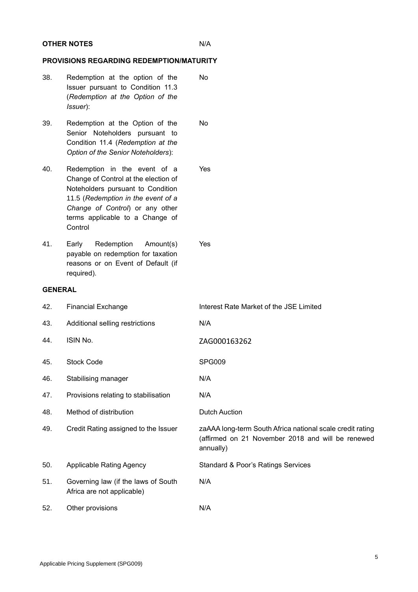## **OTHER NOTES** N/A

# **PROVISIONS REGARDING REDEMPTION/MATURITY**

- 38. Redemption at the option of the Issuer pursuant to Condition 11.3 (*Redemption at the Option of the Issuer*): No
- 39. Redemption at the Option of the Senior Noteholders pursuant to Condition 11.4 (*Redemption at the Option of the Senior Noteholders*): No
- 40. Redemption in the event of a Change of Control at the election of Noteholders pursuant to Condition 11.5 (*Redemption in the event of a Change of Control*) or any other terms applicable to a Change of **Control** Yes
- 41. Early Redemption Amount(s) payable on redemption for taxation reasons or on Event of Default (if required).

# **GENERAL**

| 42. | <b>Financial Exchange</b>                                         | Interest Rate Market of the JSE Limited                                                                                     |
|-----|-------------------------------------------------------------------|-----------------------------------------------------------------------------------------------------------------------------|
| 43. | Additional selling restrictions                                   | N/A                                                                                                                         |
| 44. | ISIN No.                                                          | ZAG000163262                                                                                                                |
| 45. | <b>Stock Code</b>                                                 | SPG009                                                                                                                      |
| 46. | Stabilising manager                                               | N/A                                                                                                                         |
| 47. | Provisions relating to stabilisation                              | N/A                                                                                                                         |
| 48. | Method of distribution                                            | <b>Dutch Auction</b>                                                                                                        |
| 49. | Credit Rating assigned to the Issuer                              | zaAAA long-term South Africa national scale credit rating<br>(affirmed on 21 November 2018 and will be renewed<br>annually) |
| 50. | <b>Applicable Rating Agency</b>                                   | <b>Standard &amp; Poor's Ratings Services</b>                                                                               |
| 51. | Governing law (if the laws of South<br>Africa are not applicable) | N/A                                                                                                                         |
| 52. | Other provisions                                                  | N/A                                                                                                                         |

Yes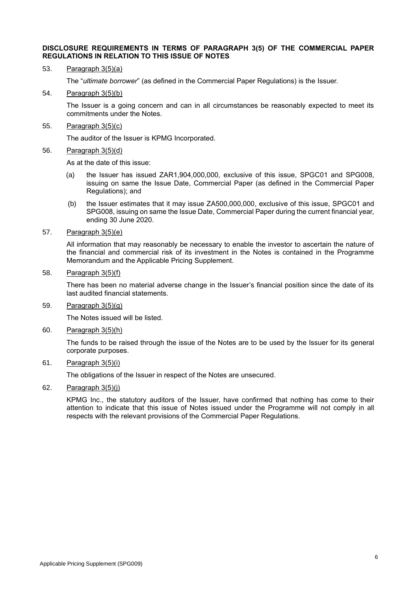#### **DISCLOSURE REQUIREMENTS IN TERMS OF PARAGRAPH 3(5) OF THE COMMERCIAL PAPER REGULATIONS IN RELATION TO THIS ISSUE OF NOTES**

53. Paragraph 3(5)(a)

The "*ultimate borrower*" (as defined in the Commercial Paper Regulations) is the Issuer.

54. Paragraph 3(5)(b)

The Issuer is a going concern and can in all circumstances be reasonably expected to meet its commitments under the Notes.

55. Paragraph 3(5)(c)

The auditor of the Issuer is KPMG Incorporated.

56. Paragraph 3(5)(d)

As at the date of this issue:

- (a) the Issuer has issued ZAR1,904,000,000, exclusive of this issue, SPGC01 and SPG008, issuing on same the Issue Date, Commercial Paper (as defined in the Commercial Paper Regulations); and
- (b) the Issuer estimates that it may issue ZA500,000,000, exclusive of this issue, SPGC01 and SPG008, issuing on same the Issue Date, Commercial Paper during the current financial year, ending 30 June 2020.
- 57. Paragraph 3(5)(e)

All information that may reasonably be necessary to enable the investor to ascertain the nature of the financial and commercial risk of its investment in the Notes is contained in the Programme Memorandum and the Applicable Pricing Supplement.

58. Paragraph 3(5)(f)

There has been no material adverse change in the Issuer's financial position since the date of its last audited financial statements.

59. Paragraph 3(5)(g)

The Notes issued will be listed.

60. Paragraph 3(5)(h)

The funds to be raised through the issue of the Notes are to be used by the Issuer for its general corporate purposes.

61. Paragraph 3(5)(i)

The obligations of the Issuer in respect of the Notes are unsecured.

62. Paragraph  $3(5)(i)$ 

KPMG Inc., the statutory auditors of the Issuer, have confirmed that nothing has come to their attention to indicate that this issue of Notes issued under the Programme will not comply in all respects with the relevant provisions of the Commercial Paper Regulations.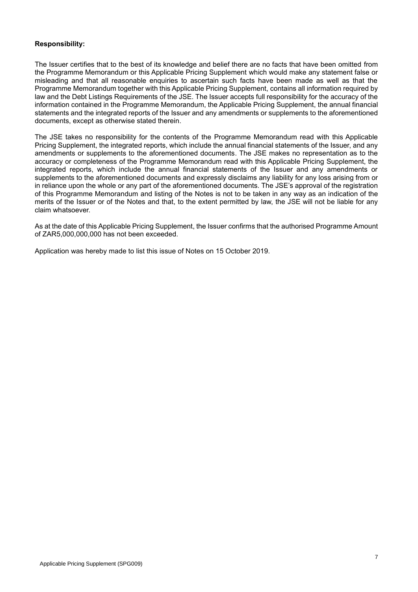# **Responsibility:**

The Issuer certifies that to the best of its knowledge and belief there are no facts that have been omitted from the Programme Memorandum or this Applicable Pricing Supplement which would make any statement false or misleading and that all reasonable enquiries to ascertain such facts have been made as well as that the Programme Memorandum together with this Applicable Pricing Supplement, contains all information required by law and the Debt Listings Requirements of the JSE. The Issuer accepts full responsibility for the accuracy of the information contained in the Programme Memorandum, the Applicable Pricing Supplement, the annual financial statements and the integrated reports of the Issuer and any amendments or supplements to the aforementioned documents, except as otherwise stated therein.

The JSE takes no responsibility for the contents of the Programme Memorandum read with this Applicable Pricing Supplement, the integrated reports, which include the annual financial statements of the Issuer, and any amendments or supplements to the aforementioned documents. The JSE makes no representation as to the accuracy or completeness of the Programme Memorandum read with this Applicable Pricing Supplement, the integrated reports, which include the annual financial statements of the Issuer and any amendments or supplements to the aforementioned documents and expressly disclaims any liability for any loss arising from or in reliance upon the whole or any part of the aforementioned documents. The JSE's approval of the registration of this Programme Memorandum and listing of the Notes is not to be taken in any way as an indication of the merits of the Issuer or of the Notes and that, to the extent permitted by law, the JSE will not be liable for any claim whatsoever.

As at the date of this Applicable Pricing Supplement, the Issuer confirms that the authorised Programme Amount of ZAR5,000,000,000 has not been exceeded.

Application was hereby made to list this issue of Notes on 15 October 2019.